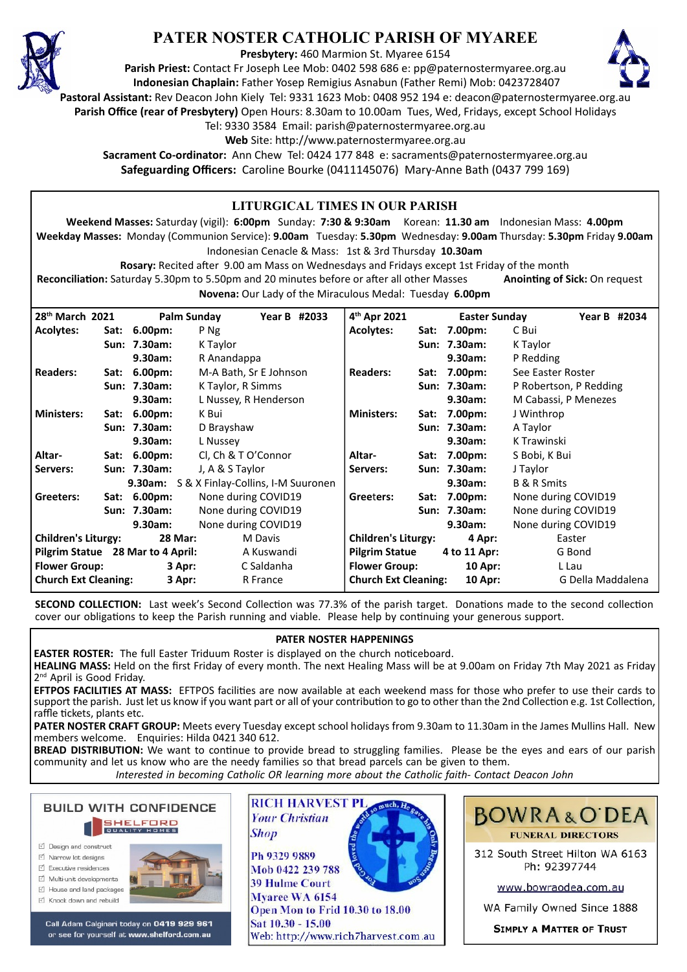

## **PATER NOSTER CATHOLIC PARISH OF MYAREE**

**Presbytery:** 460 Marmion St. Myaree 6154

**Parish Priest:** Contact Fr Joseph Lee Mob: 0402 598 686 e: pp@paternostermyaree.org.au **Indonesian Chaplain:** Father Yosep Remigius Asnabun (Father Remi) Mob: 0423728407



**Pastoral Assistant:** Rev Deacon John Kiely Tel: 9331 1623 Mob: 0408 952 194 e: deacon@paternostermyaree.org.au

**Parish Office (rear of Presbytery)** Open Hours: 8.30am to 10.00am Tues, Wed, Fridays, except School Holidays

Tel: 9330 3584 Email: parish@paternostermyaree.org.au

Web Site: http://www.paternostermyaree.org.au

**Sacrament Co-ordinator:** Ann Chew Tel: 0424 177 848 e: sacraments@paternostermyaree.org.au **Safeguarding Officers:** Caroline Bourke (0411145076) Mary-Anne Bath (0437 799 169)

## **LITURGICAL TIMES IN OUR PARISH Weekend Masses:** Saturday (vigil): **6:00pm** Sunday: **7:30 & 9:30am** Korean: **11.30 am** Indonesian Mass: **4.00pm Weekday Masses:** Monday (Communion Service): **9.00am** Tuesday: **5.30pm** Wednesday: **9.00am** Thursday: **5.30pm** Friday **9.00am** Indonesian Cenacle & Mass: 1st & 3rd Thursday **10.30am Rosary:** Recited a�er 9.00 am Mass on Wednesdays and Fridays except 1st Friday of the month **Reconciliation:** Saturday 5.30pm to 5.50pm and 20 minutes before or after all other Masses **Anointing of Sick:** On request **Novena:** Our Lady of the Miraculous Medal: Tuesday **6.00pm 28th March 2021 Palm Sunday Year B #2033 Acolytes: Sat: 6.00pm:** P Ng **Sun: 7.30am:** K Taylor **9.30am:** R Anandappa **Readers: Sat: 6.00pm:** M-A Bath, Sr E Johnson **Sun: 7.30am:** K Taylor, R Simms **9.30am:** L Nussey, R Henderson **Ministers: Sat: 6.00pm:** K Bui **Sun: 7.30am:** D Brayshaw **9.30am:** L Nussey **Altar- Sat: 6.00pm:** Cl, Ch & T O'Connor **Servers: Sun: 7.30am:** J, A & S Taylor 4<sup>th</sup> Apr 2021 **th Apr 2021 Easter Sunday Year B #2034 Acolytes: Sat: 7.00pm:** C Bui **Sun: 7.30am:** K Taylor **9.30am:** P Redding **Readers: Sat: 7.00pm:** See Easter Roster **Sun: 7.30am:** P Robertson, P Redding **9.30am:** M Cabassi, P Menezes **Ministers: Sat: 7.00pm:** J Winthrop **Sun: 7.30am:** A Taylor **9.30am:** K Trawinski **Altar- Sat: 7.00pm:** S Bobi, K Bui **Servers: Sun: 7.30am:** J Taylor

| Pilgrim Statue 28 Mar to 4 April: |        | A Kuswandi | Pilgrim Statue              | 4 to 11 Apr: | G Bond                                                                                                                          |
|-----------------------------------|--------|------------|-----------------------------|--------------|---------------------------------------------------------------------------------------------------------------------------------|
| <b>Flower Group:</b>              | 3 Apr: | C Saldanha | <b>Flower Group:</b>        | $10$ Apr:    | L Lau                                                                                                                           |
| <b>Church Ext Cleaning:</b>       | 3 Apr: | R France   | <b>Church Ext Cleaning:</b> | $10$ Apr:    | G Della Maddalena                                                                                                               |
|                                   |        |            |                             |              | <b>SECOND COLLECTION:</b> Last week's Second Collection was 77.3% of the parish target. Donations made to the second collection |

cover our obligations to keep the Parish running and viable. Please help by continuing your generous support.

## **PATER NOSTER HAPPENINGS**

**EASTER ROSTER:** The full Easter Triduum Roster is displayed on the church noticeboard.

**9.30am:** S & X Finlay-Collins, I-M Suuronen

**Sun: 7.30am:** None during COVID19 **9.30am:** None during COVID19

**Greeters: Sat: 6.00pm:** None during COVID19

**Children's Liturgy: 28 Mar:** M Davis

**HEALING MASS:** Held on the first Friday of every month. The next Healing Mass will be at 9.00am on Friday 7th May 2021 as Friday 2<sup>nd</sup> April is Good Friday.

**EFTPOS FACILITIES AT MASS:** EFTPOS facili�es are now available at each weekend mass for those who prefer to use their cards to support the parish. Just let us know if you want part or all of your contribution to go to other than the 2nd Collection e.g. 1st Collection, raffle tickets, plants etc.

**PATER NOSTER CRAFT GROUP:** Meets every Tuesday except school holidays from 9.30am to 11.30am in the James Mullins Hall. New members welcome. Enquiries: Hilda 0421 340 612.

**BREAD DISTRIBUTION:** We want to continue to provide bread to struggling families. Please be the eyes and ears of our parish community and let us know who are the needy families so that bread parcels can be given to them. *Interested in becoming Catholic OR learning more about the Catholic faith- Contact Deacon John*



- □ Design and construct
- $\triangledown$  Narrow lot designe
- $\triangledown$  Executive residences
- $\overrightarrow{2}$  Multi-unit developments
- M House and land packages
- ☑ Knock down and rebuild



Call Adam Calginari today on 0419 929 961 or see for yourself at www.shelford.com.au



Web: http://www.rich7harvest.com.au

**BOWRA&O'DEA FUNERAL DIRECTORS** 

**9.30am:** B & R Smits

**9.30am:** None during COVID19

**None during COVID19** 

Greeters: Sat: 7.00pm: None during COVID19<br>Sun: 7.30am: None during COVID19

**Children's Liturgy: 4 Apr:** Easter

312 South Street Hilton WA 6163 Ph: 92397744

www.bowraodea.com.au

WA Family Owned Since 1888

**SIMPLY A MATTER OF TRUST**